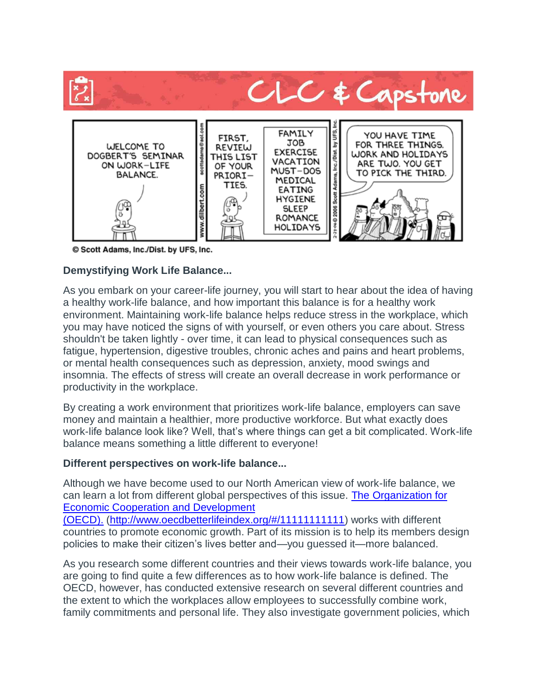

© Scott Adams, Inc./Dist. by UFS, Inc.

## **Demystifying Work Life Balance...**

As you embark on your career-life journey, you will start to hear about the idea of having a healthy work-life balance, and how important this balance is for a healthy work environment. Maintaining work-life balance helps reduce stress in the workplace, which you may have noticed the signs of with yourself, or even others you care about. Stress shouldn't be taken lightly - over time, it can lead to physical consequences such as fatigue, hypertension, digestive troubles, chronic aches and pains and heart problems, or mental health consequences such as depression, anxiety, mood swings and insomnia. The effects of stress will create an overall decrease in work performance or productivity in the workplace.

By creating a work environment that prioritizes work-life balance, employers can save money and maintain a healthier, more productive workforce. But what exactly does work-life balance look like? Well, that's where things can get a bit complicated. Work-life balance means something a little different to everyone!

## **Different perspectives on work-life balance...**

Although we have become used to our North American view of work-life balance, we can learn a lot from different global perspectives of this issue. The [Organization for](http://www.oecdbetterlifeindex.org/#/11111111111)  [Economic Cooperation and Development](http://www.oecdbetterlifeindex.org/#/11111111111) 

[\(OECD\).](http://www.oecdbetterlifeindex.org/#/11111111111) [\(http://www.oecdbetterlifeindex.org/#/11111111111\)](http://www.oecdbetterlifeindex.org/#/11111111111) works with different countries to promote economic growth. Part of its mission is to help its members design policies to make their citizen's lives better and—you guessed it—more balanced.

As you research some different countries and their views towards work-life balance, you are going to find quite a few differences as to how work-life balance is defined. The OECD, however, has conducted extensive research on several different countries and the extent to which the workplaces allow employees to successfully combine work, family commitments and personal life. They also investigate government policies, which